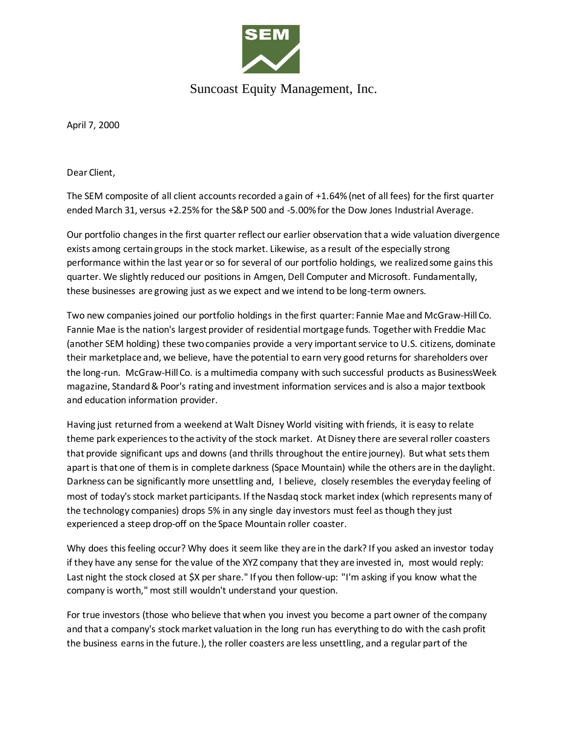

## Suncoast Equity Management, Inc.

April 7, 2000

Dear Client,

The SEM composite of all client accounts recorded a gain of +1.64% (net of all fees) for the first quarter ended March 31, versus +2.25% for the S&P 500 and -5.00% for the Dow Jones Industrial Average.

Our portfolio changes in the first quarter reflect our earlier observation that a wide valuation divergence exists among certain groups in the stock market. Likewise, as a result of the especially strong performance within the last year or so for several of our portfolio holdings, we realized some gains this quarter. We slightly reduced our positions in Amgen, Dell Computer and Microsoft. Fundamentally, these businesses are growing just as we expect and we intend to be long-term owners.

Two new companies joined our portfolio holdings in the first quarter: Fannie Mae and McGraw-Hill Co. Fannie Mae is the nation's largest provider of residential mortgage funds. Together with Freddie Mac (another SEM holding) these two companies provide a very important service to U.S. citizens, dominate their marketplace and, we believe, have the potential to earn very good returns for shareholders over the long-run. McGraw-Hill Co. is a multimedia company with such successful products as BusinessWeek magazine, Standard & Poor's rating and investment information services and is also a major textbook and education information provider.

Having just returned from a weekend at Walt Disney World visiting with friends, it is easy to relate theme park experiences to the activity of the stock market. At Disney there are several roller coasters that provide significant ups and downs (and thrills throughout the entire journey). But what sets them apart is that one of them is in complete darkness (Space Mountain) while the others are in the daylight. Darkness can be significantly more unsettling and, I believe, closely resembles the everyday feeling of most of today's stock market participants. If the Nasdaq stock market index (which represents many of the technology companies) drops 5% in any single day investors must feel as though they just experienced a steep drop-off on the Space Mountain roller coaster.

Why does this feeling occur? Why does it seem like they are in the dark? If you asked an investor today if they have any sense for the value of the XYZ company that they are invested in, most would reply: Last night the stock closed at \$X per share." If you then follow-up: "I'm asking if you know what the company is worth," most still wouldn't understand your question.

For true investors (those who believe that when you invest you become a part owner of the company and that a company's stock market valuation in the long run has everything to do with the cash profit the business earns in the future.), the roller coasters are less unsettling, and a regular part of the